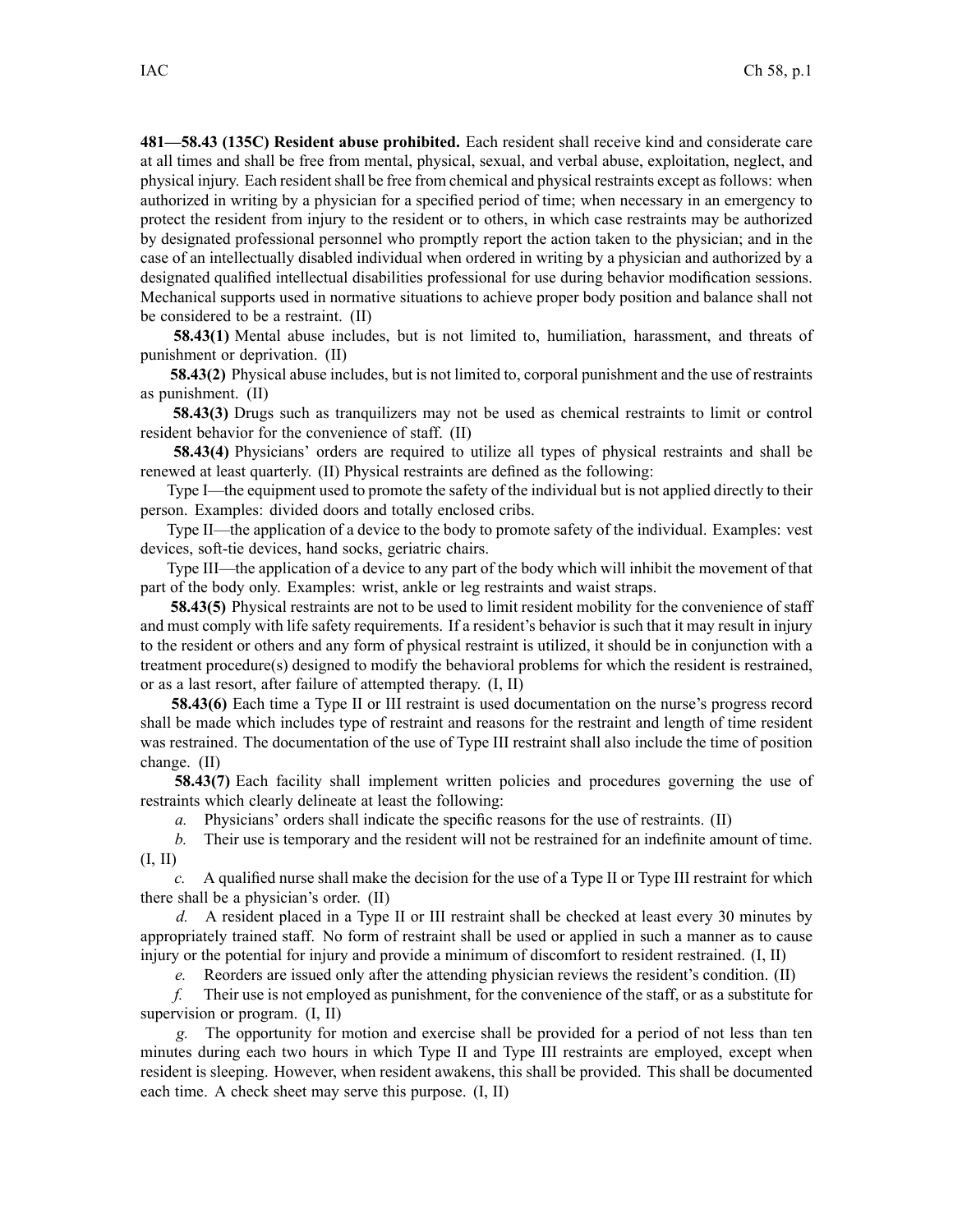**481—58.43 (135C) Resident abuse prohibited.** Each resident shall receive kind and considerate care at all times and shall be free from mental, physical, sexual, and verbal abuse, exploitation, neglect, and physical injury. Each resident shall be free from chemical and physical restraints except as follows: when authorized in writing by <sup>a</sup> physician for <sup>a</sup> specified period of time; when necessary in an emergency to protect the resident from injury to the resident or to others, in which case restraints may be authorized by designated professional personnel who promptly repor<sup>t</sup> the action taken to the physician; and in the case of an intellectually disabled individual when ordered in writing by <sup>a</sup> physician and authorized by <sup>a</sup> designated qualified intellectual disabilities professional for use during behavior modification sessions. Mechanical supports used in normative situations to achieve proper body position and balance shall not be considered to be <sup>a</sup> restraint. (II)

**58.43(1)** Mental abuse includes, but is not limited to, humiliation, harassment, and threats of punishment or deprivation. (II)

**58.43(2)** Physical abuse includes, but is not limited to, corporal punishment and the use of restraints as punishment. (II)

**58.43(3)** Drugs such as tranquilizers may not be used as chemical restraints to limit or control resident behavior for the convenience of staff. (II)

**58.43(4)** Physicians' orders are required to utilize all types of physical restraints and shall be renewed at least quarterly. (II) Physical restraints are defined as the following:

Type I—the equipment used to promote the safety of the individual but is not applied directly to their person. Examples: divided doors and totally enclosed cribs.

Type II—the application of <sup>a</sup> device to the body to promote safety of the individual. Examples: vest devices, soft-tie devices, hand socks, geriatric chairs.

Type III—the application of <sup>a</sup> device to any par<sup>t</sup> of the body which will inhibit the movement of that par<sup>t</sup> of the body only. Examples: wrist, ankle or leg restraints and waist straps.

**58.43(5)** Physical restraints are not to be used to limit resident mobility for the convenience of staff and must comply with life safety requirements. If <sup>a</sup> resident's behavior is such that it may result in injury to the resident or others and any form of physical restraint is utilized, it should be in conjunction with <sup>a</sup> treatment procedure(s) designed to modify the behavioral problems for which the resident is restrained, or as <sup>a</sup> last resort, after failure of attempted therapy. (I, II)

**58.43(6)** Each time <sup>a</sup> Type II or III restraint is used documentation on the nurse's progress record shall be made which includes type of restraint and reasons for the restraint and length of time resident was restrained. The documentation of the use of Type III restraint shall also include the time of position change. (II)

**58.43(7)** Each facility shall implement written policies and procedures governing the use of restraints which clearly delineate at least the following:

*a.* Physicians' orders shall indicate the specific reasons for the use of restraints. (II)

*b.* Their use is temporary and the resident will not be restrained for an indefinite amount of time. (I, II)

*c.* A qualified nurse shall make the decision for the use of <sup>a</sup> Type II or Type III restraint for which there shall be <sup>a</sup> physician's order. (II)

*d.* A resident placed in <sup>a</sup> Type II or III restraint shall be checked at least every 30 minutes by appropriately trained staff. No form of restraint shall be used or applied in such <sup>a</sup> manner as to cause injury or the potential for injury and provide <sup>a</sup> minimum of discomfort to resident restrained. (I, II)

*e.* Reorders are issued only after the attending physician reviews the resident's condition. (II)

*f.* Their use is not employed as punishment, for the convenience of the staff, or as <sup>a</sup> substitute for supervision or program. (I, II)

*g.* The opportunity for motion and exercise shall be provided for <sup>a</sup> period of not less than ten minutes during each two hours in which Type II and Type III restraints are employed, excep<sup>t</sup> when resident is sleeping. However, when resident awakens, this shall be provided. This shall be documented each time. A check sheet may serve this purpose. (I, II)